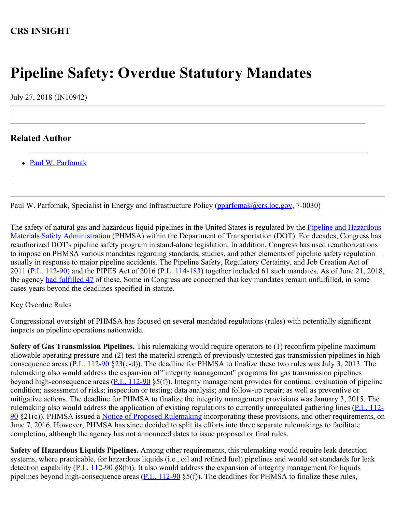## **CRS INSIGHT**

## **Pipeline Safety: Overdue Statutory Mandates**

July 27, 2018 (IN10942)

## **Related Author**

|

|

• [Paul W. Parfomak](http://www.crs.gov/Author/index?id=77139)

Paul W. Parfomak, Specialist in Energy and Infrastructure Policy [\(pparfomak@crs.loc.gov,](mailto:pparfomak@crs.loc.gov) 7-0030)

The safety of natural gas and hazardous liquid pipelines in the United States is regulated by the [Pipeline and Hazardous](https://www.phmsa.dot.gov/about-phmsa/offices/office-pipeline-safety) [Materials Safety Administration](https://www.phmsa.dot.gov/about-phmsa/offices/office-pipeline-safety) (PHMSA) within the Department of Transportation (DOT). For decades, Congress has reauthorized DOT's pipeline safety program in stand-alone legislation. In addition, Congress has used reauthorizations to impose on PHMSA various mandates regarding standards, studies, and other elements of pipeline safety regulation usually in response to major pipeline accidents. The Pipeline Safety, Regulatory Certainty, and Job Creation Act of 2011 ([P.L. 112-90\)](http://www.congress.gov/cgi-lis/bdquery/R?d112:FLD002:@1(112+90)) and the PIPES Act of 2016 [\(P.L. 114-183](http://www.congress.gov/cgi-lis/bdquery/R?d114:FLD002:@1(114+183))) together included 61 such mandates. As of June 21, 2018, the agency [had fulfilled 47](https://transportation.house.gov/uploadedfiles/2018-06-21_-_pipes_ssm.pdf) of these. Some in Congress are concerned that key mandates remain unfulfilled, in some cases years beyond the deadlines specified in statute.

## Key Overdue Rules

Congressional oversight of PHMSA has focused on several mandated regulations (rules) with potentially significant impacts on pipeline operations nationwide.

**Safety of Gas Transmission Pipelines.** This rulemaking would require operators to (1) reconfirm pipeline maximum allowable operating pressure and (2) test the material strength of previously untested gas transmission pipelines in highconsequence areas  $(P,L, 112-90 \text{ } \& 23$ (c-d)). The deadline for PHMSA to finalize these two rules was July 3, 2013. The rulemaking also would address the expansion of "integrity management" programs for gas transmission pipelines beyond high-consequence areas [\(P.L. 112-90](http://www.congress.gov/cgi-lis/bdquery/R?d112:FLD002:@1(112+90)) §5(f)). Integrity management provides for continual evaluation of pipeline condition; assessment of risks; inspection or testing; data analysis; and follow-up repair; as well as preventive or mitigative actions. The deadline for PHMSA to finalize the integrity management provisions was January 3, 2015. The rulemaking also would address the application of existing regulations to currently unregulated gathering lines ([P.L. 112-](http://www.congress.gov/cgi-lis/bdquery/R?d112:FLD002:@1(112+90)) [90](http://www.congress.gov/cgi-lis/bdquery/R?d112:FLD002:@1(112+90)) §21(c)). PHMSA issued a [Notice of Proposed Rulemaking](https://www.federalregister.gov/documents/2016/04/08/2016-06382/pipeline-safety-safety-of-gas-transmission-and-gathering-pipelines) incorporating these provisions, and other requirements, on June 7, 2016. However, PHMSA has since decided to split its efforts into three separate rulemakings to facilitate completion, although the agency has not announced dates to issue proposed or final rules.

**Safety of Hazardous Liquids Pipelines.** Among other requirements, this rulemaking would require leak detection systems, where practicable, for hazardous liquids (i.e., oil and refined fuel) pipelines and would set standards for leak detection capability  $(P.L. 112-90 \text{ } \text{S}(b))$  $(P.L. 112-90 \text{ } \text{S}(b))$ . It also would address the expansion of integrity management for liquids pipelines beyond high-consequence areas  $(P.L. 112-90 \text{ } $5(f)]$  $(P.L. 112-90 \text{ } $5(f)]$  $(P.L. 112-90 \text{ } $5(f)]$ . The deadlines for PHMSA to finalize these rules,